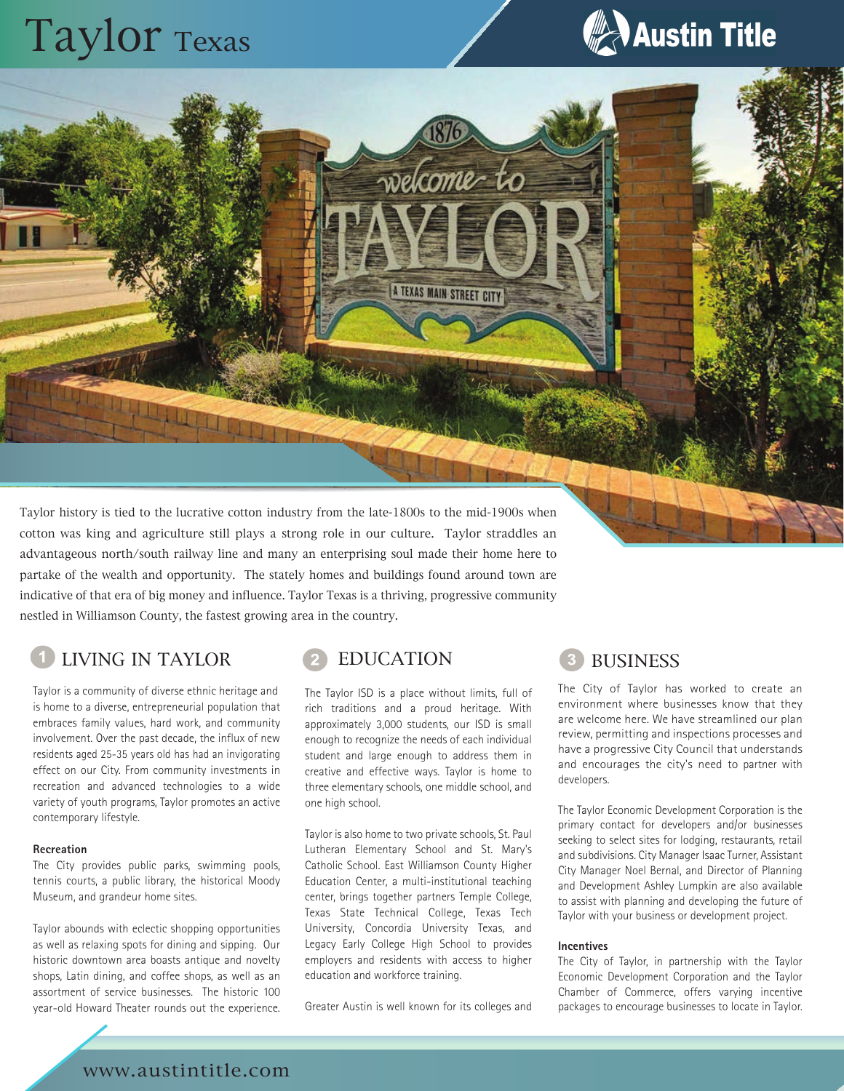# Taylor Texas



Taylor history is tied to the lucrative cotton industry from the late-1800s to the mid-1900s when cotton was king and agriculture still plays a strong role in our culture. Taylor straddles an advantageous north/south railway line and many an enterprising soul made their home here to partake of the wealth and opportunity. The stately homes and buildings found around town are indicative of that era of big money and influence. Taylor Texas is a thriving, progressive community nestled in Williamson County, the fastest growing area in the country.

# LIVING IN TAYLOR 2 EDUCATION 3 BUSINESS

Taylor is a community of diverse ethnic heritage and is home to a diverse, entrepreneurial population that embraces family values, hard work, and community involvement. Over the past decade, the influx of new residents aged 25-35 years old has had an invigorating effect on our City. From community investments in recreation and advanced technologies to a wide variety of youth programs, Taylor promotes an active contemporary lifestyle.

LHULL

### **Recreation**

The City provides public parks, swimming pools, tennis courts, a public library, the historical Moody Museum, and grandeur home sites.

Taylor abounds with eclectic shopping opportunities as well as relaxing spots for dining and sipping. Our historic downtown area boasts antique and novelty shops, Latin dining, and coffee shops, as well as an assortment of service businesses. The historic 100 year-old Howard Theater rounds out the experience.



The Taylor ISD is a place without limits, full of rich traditions and a proud heritage. With approximately 3,000 students, our ISD is small enough to recognize the needs of each individual student and large enough to address them in creative and effective ways. Taylor is home to three elementary schools, one middle school, and one high school.

wekome-to

A TEXAS MAIN STREET CITY

Taylor is also home to two private schools, St. Paul Lutheran Elementary School and St. Mary's Catholic School. East Williamson County Higher Education Center, a multi-institutional teaching center, brings together partners Temple College, Texas State Technical College, Texas Tech University, Concordia University Texas, and Legacy Early College High School to provides employers and residents with access to higher education and workforce training.

Greater Austin is well known for its colleges and

The City of Taylor has worked to create an environment where businesses know that they are welcome here. We have streamlined our plan review, permitting and inspections processes and have a progressive City Council that understands and encourages the city's need to partner with developers.

The Taylor Economic Development Corporation is the primary contact for developers and/or businesses seeking to select sites for lodging, restaurants, retail and subdivisions. City Manager Isaac Turner, Assistant City Manager Noel Bernal, and Director of Planning and Development Ashley Lumpkin are also available to assist with planning and developing the future of Taylor with your business or development project.

### **Incentives**

The City of Taylor, in partnership with the Taylor Economic Development Corporation and the Taylor Chamber of Commerce, offers varying incentive packages to encourage businesses to locate in Taylor.